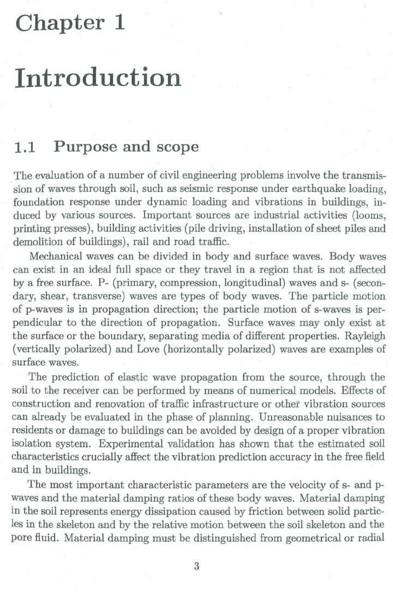## **Chapter 1**

## **Introduction**

## **1.1 Purpose and scope**

The evaluation of a number of civil engineering problems involve the transmis sion of waves through soil, such as seismic response under earthquake loading, foundation response under dynamic loading and vibrations in buildings, induced by various sources. Important sourees are industrial activities (looms, printing presses), building activities (pile driving, installation of sheet piles and demolition of buildings), rail and road traffic.

Mechanical waves can be divided in body and surface waves. Body waves can exist in an ideal full space or they travel in a region that is not affected by a free surface. P- (primary, compression, longitudinal) waves and s- (secondary, shear, transverse) waves are types of body waves. The particle motion of p-waves is in propagation direction; the particle motion of s-waves is perpendicular to the direction of propagation. Surface waves may only exist at the surface or the boundary, separating media of different properties. Rayleigh (vertically polarized) and Love (horizontally polarized) waves are examples of surface waves.

The prediction of elastic wave propagation from the source, through the soil to the receiver can be performed by means of numerical models. Effects of construction and renovation of traffic infrastructure or other vibration sourees can already be evaluated in the phase of planning. Unreasonable nuisances to residents or damage to buildings can be avoided by design of a proper vibration isolation system. Experimental validation has shown that the estimated soil characteristics crucially affect the vibration prediction accuracy in the free field and in buildings.

The most important characteristic parameters are the velocity of s- and pwaves and the material damping ratios of these body waves. Material damping in the soil represents energy dissipation caused by friction between solid particles in the skeleton and by the relative motion between the soil skeleton and the pore fluid. Material damping must be distinguished from geometrical or radial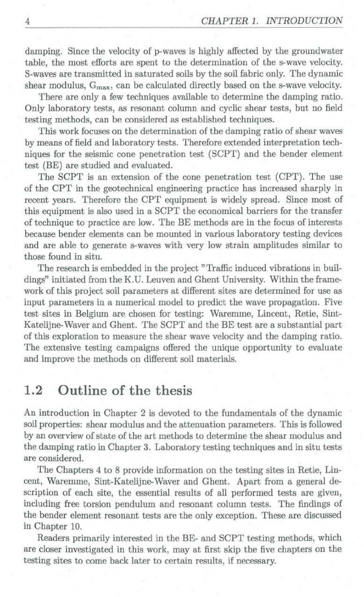damping. Since the velocity of p-wavesis highly affected by the groundwater table, the most efforts are spent to the determination of the s-wave velocity. S-waves are transmitted in saturated soils by the soil fabric only. The dynamic shear modulus,  $G_{\text{max}}$ , can be calculated directly based on the s-wave velocity.

There are only a few techniques available to determine the damping ratio. Only laboratory tests, as resonant column and cyclic shear tests, but no field testing methods, can be considered as established techniques.

This work focuses on the determination of the damping ratio of shear waves by means of field and laboratory tests. Therefore extended interpretation techniques for the seismie cone penetration test (SCPT) and the bender element test (BE) are studied and evaluated.

The SCPT is an extension of the cone penetration test (CPT). The use of the CPT in the geotechnical engineering practice has increased sharply in recent years. Therefore the CPT equipment is widely spread. Since most of this equipment is also used in a SCPT the economical barriers for the transfer of technique to practice are low. The BE methods are in the focus of interests because bender elements can be mounted in various laboratory testing devices and are able to generate s-waves with very low strain amplitudes similar to those found in situ.

The research is embedded in the project "Traffic induced vibrations in buildings" initiated from the K.U. Leuven and Ghent University. Within the framework of this project soil parameters at different sites are determined for use as input parameters in a numerical model to predict the wave propagation. Five test sites in Belgium are chosen for testing: Waremme, Lincent, Retie, Sint-Katelijne-Waver and Ghent. The SCPT and the BE test are a substantial part of this exploration to measure the shear wave velocity and the damping ratio. The extensive testing campaigns offered the unique opportunity to evaluate and improve the methods on different soil materials.

## **1.2 Outline of the thesis**

An introduction in Chapter 2 is devoted to the fundamentals of the dynamic soil properties: shear modulus and the attenuation parameters. This is followed by an overviewof state of the art methods to determine the shear modulus and the damping ratio in Chapter 3. Laboratory testing techniques and in situ tests are considered.

The Chapters 4 to 8 provide information on the testing sites in Retie, Lincent, Waremme, Sint-Katelijne-Waver and Ghent. Apart from a general description of each site, the essential results of all performed tests are given, including free torsion pendulum and resonant column tests. The findings of the bender element resonant tests are the only exception. These are discussed in Chapter 10.

Readers primarily interested in the BE- and SCPT testing methods, which are closer investigated in this work, may at first skip the five chapters on the testing sites to come back later to certain results, if necessary.